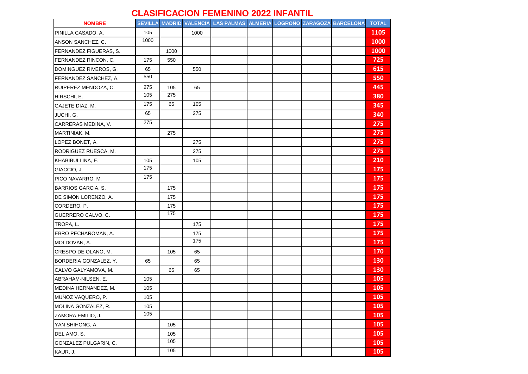## **CLASIFICACION FEMENINO 2022 INFANTIL**

| <b>NOMBRE</b>             |      |      |                  | SEVILLA MADRID VALENCIA LAS PALMAS ALMERIA LOGROÑO ZARAGOZA BARCELONA |  |  | <b>TOTAL</b> |
|---------------------------|------|------|------------------|-----------------------------------------------------------------------|--|--|--------------|
| PINILLA CASADO, A.        | 105  |      | 1000             |                                                                       |  |  | 1105         |
| ANSON SANCHEZ, C.         | 1000 |      |                  |                                                                       |  |  | 1000         |
| FERNANDEZ FIGUERAS, S.    |      | 1000 |                  |                                                                       |  |  | 1000         |
| FERNANDEZ RINCON, C.      | 175  | 550  |                  |                                                                       |  |  | 725          |
| DOMINGUEZ RIVEROS, G.     | 65   |      | 550              |                                                                       |  |  | 615          |
| FERNANDEZ SANCHEZ, A.     | 550  |      |                  |                                                                       |  |  | 550          |
| RUIPEREZ MENDOZA, C.      | 275  | 105  | 65               |                                                                       |  |  | 445          |
| HIRSCHI, E.               | 105  | 275  |                  |                                                                       |  |  | 380          |
| GAJETE DIAZ, M.           | 175  | 65   | 105              |                                                                       |  |  | 345          |
| JUCHI, G.                 | 65   |      | $\overline{275}$ |                                                                       |  |  | 340          |
| CARRERAS MEDINA, V.       | 275  |      |                  |                                                                       |  |  | 275          |
| MARTINIAK, M.             |      | 275  |                  |                                                                       |  |  | 275          |
| LOPEZ BONET, A.           |      |      | 275              |                                                                       |  |  | 275          |
| RODRIGUEZ RUESCA, M.      |      |      | 275              |                                                                       |  |  | 275          |
| KHABIBULLINA, E.          | 105  |      | 105              |                                                                       |  |  | 210          |
| GIACCIO, J.               | 175  |      |                  |                                                                       |  |  | 175          |
| PICO NAVARRO, M.          | 175  |      |                  |                                                                       |  |  | 175          |
| <b>BARRIOS GARCIA, S.</b> |      | 175  |                  |                                                                       |  |  | 175          |
| DE SIMON LORENZO, A.      |      | 175  |                  |                                                                       |  |  | 175          |
| CORDERO, P.               |      | 175  |                  |                                                                       |  |  | 175          |
| GUERRERO CALVO, C.        |      | 175  |                  |                                                                       |  |  | 175          |
| TROPA, L.                 |      |      | 175              |                                                                       |  |  | 175          |
| EBRO PECHAROMAN, A.       |      |      | 175              |                                                                       |  |  | 175          |
| MOLDOVAN, A.              |      |      | 175              |                                                                       |  |  | 175          |
| CRESPO DE OLANO, M.       |      | 105  | 65               |                                                                       |  |  | 170          |
| BORDERIA GONZALEZ, Y.     | 65   |      | 65               |                                                                       |  |  | 130          |
| CALVO GALYAMOVA, M.       |      | 65   | 65               |                                                                       |  |  | 130          |
| ABRAHAM-NILSEN, E.        | 105  |      |                  |                                                                       |  |  | 105          |
| MEDINA HERNANDEZ, M.      | 105  |      |                  |                                                                       |  |  | 105          |
| MUÑOZ VAQUERO, P.         | 105  |      |                  |                                                                       |  |  | 105          |
| MOLINA GONZALEZ, R.       | 105  |      |                  |                                                                       |  |  | 105          |
| ZAMORA EMILIO, J.         | 105  |      |                  |                                                                       |  |  | 105          |
| YAN SHIHONG, A.           |      | 105  |                  |                                                                       |  |  | 105          |
| DEL AMO, S.               |      | 105  |                  |                                                                       |  |  | 105          |
| GONZALEZ PULGARIN, C.     |      | 105  |                  |                                                                       |  |  | 105          |
| KAUR, J.                  |      | 105  |                  |                                                                       |  |  | 105          |